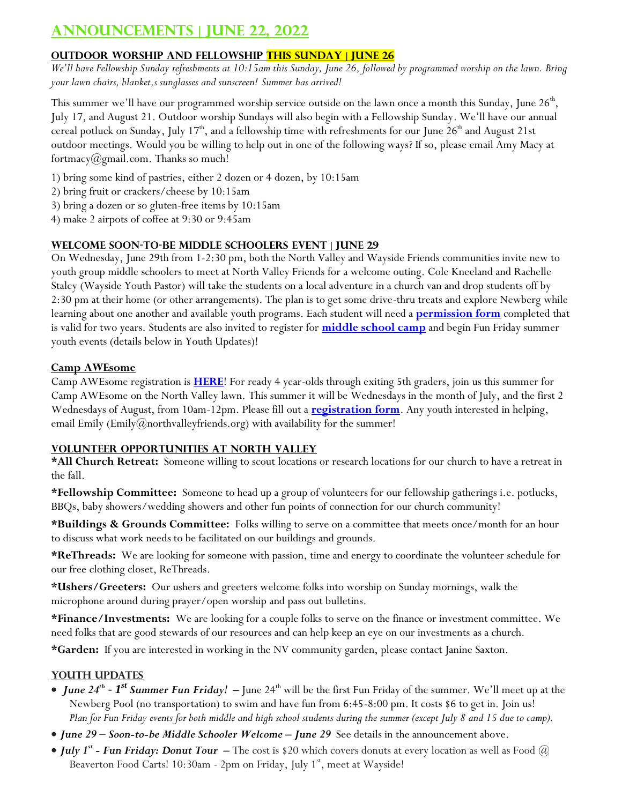# **Announcements | June 22, 2022**

### **OUTDOOR WORSHIP AND FELLOWSHIP THIS SUNDAY | JUNE 26**

*We'll have Fellowship Sunday refreshments at 10:15am this Sunday, June 26, followed by programmed worship on the lawn. Bring your lawn chairs, blanket,s sunglasses and sunscreen! Summer has arrived!*

This summer we'll have our programmed worship service outside on the lawn once a month this Sunday, June 26<sup>th</sup>, July 17, and August 21. Outdoor worship Sundays will also begin with a Fellowship Sunday. We'll have our annual cereal potluck on Sunday, July 17<sup>th</sup>, and a fellowship time with refreshments for our June 26<sup>th</sup> and August 21st outdoor meetings. Would you be willing to help out in one of the following ways? If so, please email Amy Macy at fortmacy@gmail.com. Thanks so much!

- 1) bring some kind of pastries, either 2 dozen or 4 dozen, by 10:15am
- 2) bring fruit or crackers/cheese by 10:15am
- 3) bring a dozen or so gluten-free items by 10:15am
- 4) make 2 airpots of coffee at 9:30 or 9:45am

#### **Welcome soon-to-be Middle Schoolers Event | June 29**

On Wednesday, June 29th from 1-2:30 pm, both the North Valley and Wayside Friends communities invite new to youth group middle schoolers to meet at North Valley Friends for a welcome outing. Cole Kneeland and Rachelle Staley (Wayside Youth Pastor) will take the students on a local adventure in a church van and drop students off by 2:30 pm at their home (or other arrangements). The plan is to get some drive-thru treats and explore Newberg while learning about one another and available youth programs. Each student will need a **[permission form](https://forms.gle/EBPcFbQnYsCURGH78)** completed that is valid for two years. Students are also invited to register for **[middle school camp](https://forms.gle/XjhmxTgAw3bcAKcc9)** and begin Fun Friday summer youth events (details below in Youth Updates)!

#### **Camp AWEsome**

Camp AWEsome registration is **[HERE](https://docs.google.com/forms/d/e/1FAIpQLSfNfgQg3cRA0t0qn4jWyHJrviv1_kkwRRjSX0gwcc0Y8nUX9w/viewform?usp=sf_link)**! For ready 4 year-olds through exiting 5th graders, join us this summer for Camp AWEsome on the North Valley lawn. This summer it will be Wednesdays in the month of July, and the first 2 Wednesdays of August, from 10am-12pm. Please fill out a **[registration form](https://docs.google.com/forms/d/e/1FAIpQLSfNfgQg3cRA0t0qn4jWyHJrviv1_kkwRRjSX0gwcc0Y8nUX9w/viewform?usp=sf_link)**. Any youth interested in helping, email Emily (Emily@northvalleyfriends.org) with availability for the summer!

#### **Volunteer Opportunities at North Valley**

**\*All Church Retreat:** Someone willing to scout locations or research locations for our church to have a retreat in the fall.

**\*Fellowship Committee:** Someone to head up a group of volunteers for our fellowship gatherings i.e. potlucks, BBQs, baby showers/wedding showers and other fun points of connection for our church community!

**\*Buildings & Grounds Committee:** Folks willing to serve on a committee that meets once/month for an hour to discuss what work needs to be facilitated on our buildings and grounds.

**\*ReThreads:** We are looking for someone with passion, time and energy to coordinate the volunteer schedule for our free clothing closet, ReThreads.

**\*Ushers/Greeters:** Our ushers and greeters welcome folks into worship on Sunday mornings, walk the microphone around during prayer/open worship and pass out bulletins.

**\*Finance/Investments:** We are looking for a couple folks to serve on the finance or investment committee. We need folks that are good stewards of our resources and can help keep an eye on our investments as a church.

**\*Garden:** If you are interested in working in the NV community garden, please contact Janine Saxton.

### **Youth Updates**

- *June 24<sup>th</sup>*  $I^{st}$  *Summer Fun Friday!* June 24<sup>th</sup> will be the first Fun Friday of the summer. We'll meet up at the Newberg Pool (no transportation) to swim and have fun from 6:45-8:00 pm. It costs \$6 to get in. Join us! *Plan for Fun Friday events for both middle and high school students during the summer (except July 8 and 15 due to camp).*
- *June 29 Soon-to-be Middle Schooler Welcome – June 29* See details in the announcement above.
- *July 1st - Fun Friday: Donut Tour* **–** The cost is \$20 which covers donuts at every location as well as Food @ Beaverton Food Carts! 10:30am - 2pm on Friday, July 1<sup>st</sup>, meet at Wayside!